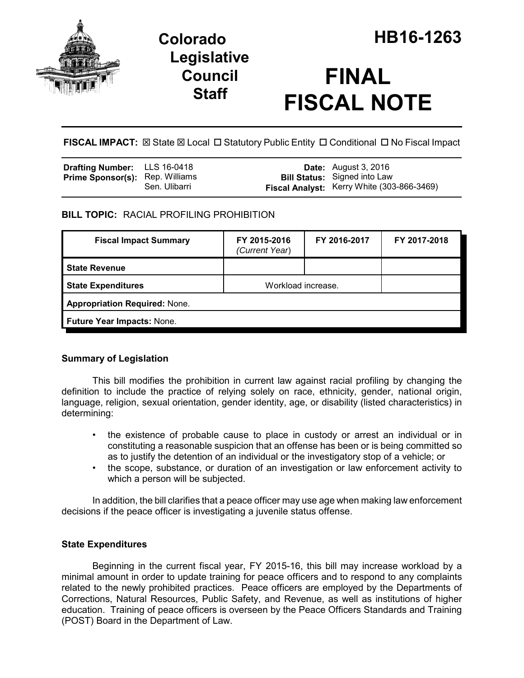

## **Legislative Council Staff**

# **FINAL FISCAL NOTE**

**FISCAL IMPACT:**  $\boxtimes$  State  $\boxtimes$  Local  $\Box$  Statutory Public Entity  $\Box$  Conditional  $\Box$  No Fiscal Impact

| <b>Drafting Number:</b> LLS 16-0418    |               | <b>Date:</b> August 3, 2016                |
|----------------------------------------|---------------|--------------------------------------------|
| <b>Prime Sponsor(s):</b> Rep. Williams |               | <b>Bill Status:</b> Signed into Law        |
|                                        | Sen. Ulibarri | Fiscal Analyst: Kerry White (303-866-3469) |

## **BILL TOPIC:** RACIAL PROFILING PROHIBITION

| <b>Fiscal Impact Summary</b>         | FY 2015-2016<br>(Current Year) | FY 2016-2017 | FY 2017-2018 |  |
|--------------------------------------|--------------------------------|--------------|--------------|--|
| <b>State Revenue</b>                 |                                |              |              |  |
| <b>State Expenditures</b>            | Workload increase.             |              |              |  |
| <b>Appropriation Required: None.</b> |                                |              |              |  |
| <b>Future Year Impacts: None.</b>    |                                |              |              |  |

## **Summary of Legislation**

This bill modifies the prohibition in current law against racial profiling by changing the definition to include the practice of relying solely on race, ethnicity, gender, national origin, language, religion, sexual orientation, gender identity, age, or disability (listed characteristics) in determining:

- the existence of probable cause to place in custody or arrest an individual or in constituting a reasonable suspicion that an offense has been or is being committed so as to justify the detention of an individual or the investigatory stop of a vehicle; or
- the scope, substance, or duration of an investigation or law enforcement activity to which a person will be subjected.

In addition, the bill clarifies that a peace officer may use age when making law enforcement decisions if the peace officer is investigating a juvenile status offense.

## **State Expenditures**

Beginning in the current fiscal year, FY 2015-16, this bill may increase workload by a minimal amount in order to update training for peace officers and to respond to any complaints related to the newly prohibited practices. Peace officers are employed by the Departments of Corrections, Natural Resources, Public Safety, and Revenue, as well as institutions of higher education. Training of peace officers is overseen by the Peace Officers Standards and Training (POST) Board in the Department of Law.